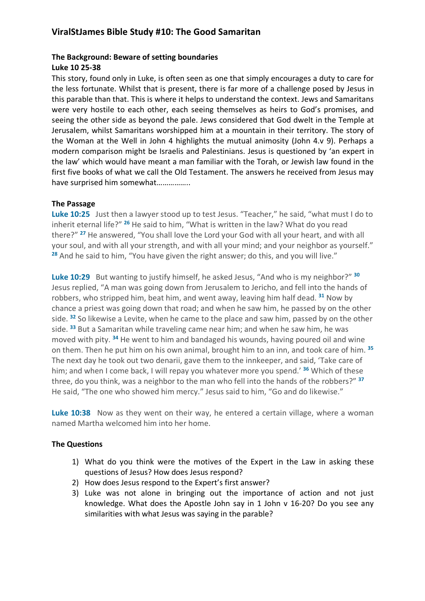# **ViralStJames Bible Study #10: The Good Samaritan**

### **The Background: Beware of setting boundaries**

#### **Luke 10 25-38**

This story, found only in Luke, is often seen as one that simply encourages a duty to care for the less fortunate. Whilst that is present, there is far more of a challenge posed by Jesus in this parable than that. This is where it helps to understand the context. Jews and Samaritans were very hostile to each other, each seeing themselves as heirs to God's promises, and seeing the other side as beyond the pale. Jews considered that God dwelt in the Temple at Jerusalem, whilst Samaritans worshipped him at a mountain in their territory. The story of the Woman at the Well in John 4 highlights the mutual animosity (John 4.v 9). Perhaps a modern comparison might be Israelis and Palestinians. Jesus is questioned by 'an expert in the law' which would have meant a man familiar with the Torah, or Jewish law found in the first five books of what we call the Old Testament. The answers he received from Jesus may have surprised him somewhat……………..

### **The Passage**

**Luke 10:25** Just then a lawyer stood up to test Jesus. "Teacher," he said, "what must I do to inherit eternal life?" **<sup>26</sup>** He said to him, "What is written in the law? What do you read there?" **<sup>27</sup>** He answered, "You shall love the Lord your God with all your heart, and with all your soul, and with all your strength, and with all your mind; and your neighbor as yourself." **<sup>28</sup>** And he said to him, "You have given the right answer; do this, and you will live."

**Luke 10:29** But wanting to justify himself, he asked Jesus, "And who is my neighbor?" **<sup>30</sup>** Jesus replied, "A man was going down from Jerusalem to Jericho, and fell into the hands of robbers, who stripped him, beat him, and went away, leaving him half dead. **<sup>31</sup>** Now by chance a priest was going down that road; and when he saw him, he passed by on the other side. **<sup>32</sup>** So likewise a Levite, when he came to the place and saw him, passed by on the other side. **<sup>33</sup>** But a Samaritan while traveling came near him; and when he saw him, he was moved with pity. **<sup>34</sup>** He went to him and bandaged his wounds, having poured oil and wine on them. Then he put him on his own animal, brought him to an inn, and took care of him. **<sup>35</sup>** The next day he took out two denarii, gave them to the innkeeper, and said, 'Take care of him; and when I come back, I will repay you whatever more you spend.' **<sup>36</sup>** Which of these three, do you think, was a neighbor to the man who fell into the hands of the robbers?" **<sup>37</sup>** He said, "The one who showed him mercy." Jesus said to him, "Go and do likewise."

Luke 10:38 Now as they went on their way, he entered a certain village, where a woman named Martha welcomed him into her home.

### **The Questions**

- 1) What do you think were the motives of the Expert in the Law in asking these questions of Jesus? How does Jesus respond?
- 2) How does Jesus respond to the Expert's first answer?
- 3) Luke was not alone in bringing out the importance of action and not just knowledge. What does the Apostle John say in 1 John v 16-20? Do you see any similarities with what Jesus was saying in the parable?